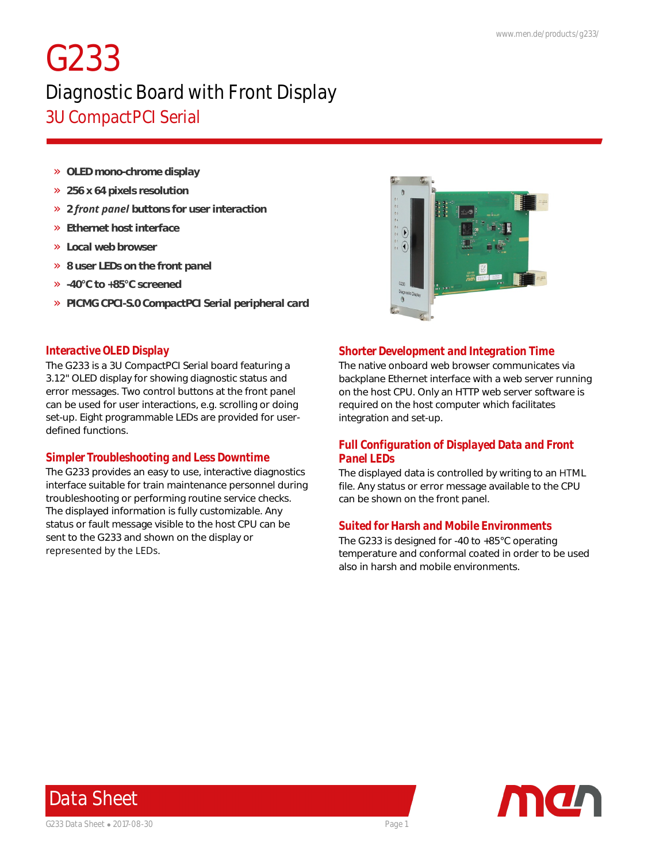# *G233*

## *Diagnostic Board with Front Display 3U CompactPCI Serial*

- » *OLED mono-chrome display*
- » *256 x 64 pixels resolution*
- » *2 front panel buttons for user interaction*
- » *Ethernet host interface*
- » *Local web browser*
- » *8 user LEDs on the front panel*
- » *-40°C to +85°C screened*
- » *PICMG CPCI-S.0 CompactPCI Serial peripheral card*



### *Interactive OLED Display*

The G233 is a 3U CompactPCI Serial board featuring a 3.12" OLED display for showing diagnostic status and error messages. Two control buttons at the front panel can be used for user interactions, e.g. scrolling or doing set-up. Eight programmable LEDs are provided for userdefined functions.

## *Simpler Troubleshooting and Less Downtime*

The G233 provides an easy to use, interactive diagnostics interface suitable for train maintenance personnel during troubleshooting or performing routine service checks. The displayed information is fully customizable. Any status or fault message visible to the host CPU can be sent to the G233 and shown on the display or represented by the LEDs.

### *Shorter Development and Integration Time*

The native onboard web browser communicates via backplane Ethernet interface with a web server running on the host CPU. Only an HTTP web server software is required on the host computer which facilitates integration and set-up.

## *Full Configuration of Displayed Data and Front Panel LEDs*

The displayed data is controlled by writing to an HTML file. Any status or error message available to the CPU can be shown on the front panel.

#### *Suited for Harsh and Mobile Environments*

The G233 is designed for -40 to +85°C operating temperature and conformal coated in order to be used also in harsh and mobile environments.



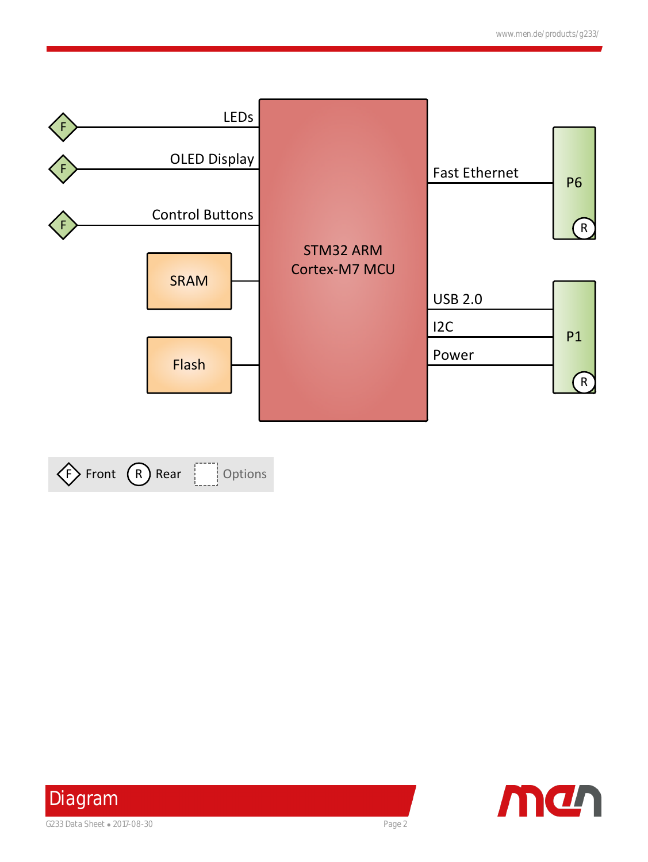





*Diagram* G233 Data Sheet • 2017-08-30 Page 2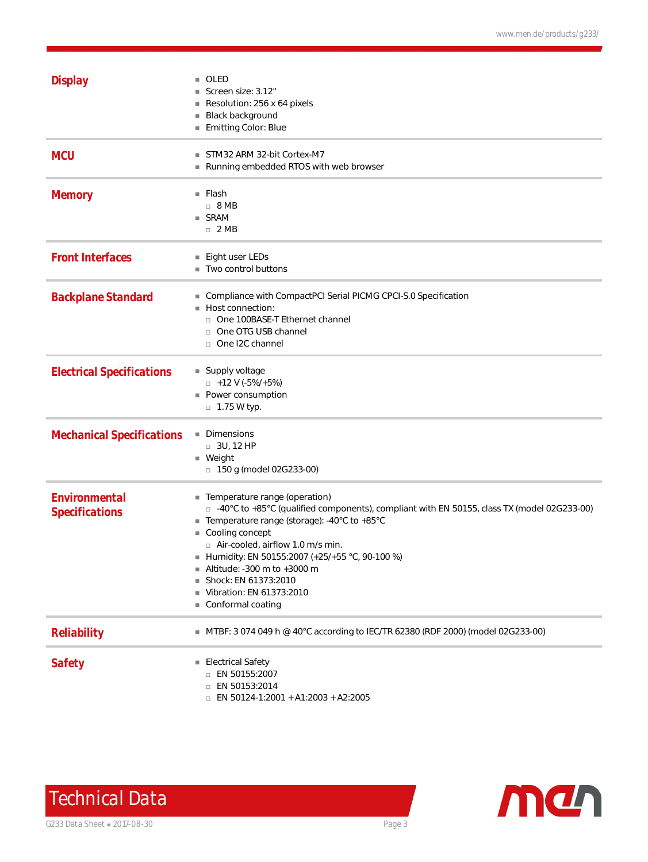| <b>Display</b>                                | OLED<br>Screen size: 3.12"<br>Resolution: 256 x 64 pixels<br>Black background<br>Emitting Color: Blue                                                                                                                                                                                                                                                                                                           |
|-----------------------------------------------|-----------------------------------------------------------------------------------------------------------------------------------------------------------------------------------------------------------------------------------------------------------------------------------------------------------------------------------------------------------------------------------------------------------------|
| <b>MCU</b>                                    | STM32 ARM 32-bit Cortex-M7<br>Running embedded RTOS with web browser                                                                                                                                                                                                                                                                                                                                            |
| <b>Memory</b>                                 | $\blacksquare$ Flash<br>$\Box$ 8 MB<br>■ SRAM<br>$\Box$ 2 MB                                                                                                                                                                                                                                                                                                                                                    |
| <b>Front Interfaces</b>                       | ■ Eight user LEDs<br>■ Two control buttons                                                                                                                                                                                                                                                                                                                                                                      |
| <b>Backplane Standard</b>                     | Compliance with CompactPCI Serial PICMG CPCI-S.0 Specification<br>Host connection:<br>o One 100BASE-T Ethernet channel<br>□ One OTG USB channel<br>o One I2C channel                                                                                                                                                                                                                                            |
| <b>Electrical Specifications</b>              | ■ Supply voltage<br>$\Box$ +12 V (-5%/+5%)<br>■ Power consumption<br>$\Box$ 1.75 W typ.                                                                                                                                                                                                                                                                                                                         |
| <b>Mechanical Specifications</b>              | Dimensions<br>ш<br>$\Box$ 3U, 12 HP<br>$\blacksquare$ Weight<br>$\Box$ 150 g (model 02G233-00)                                                                                                                                                                                                                                                                                                                  |
| <b>Environmental</b><br><b>Specifications</b> | Temperature range (operation)<br>a a<br>□ -40°C to +85°C (qualified components), compliant with EN 50155, class TX (model 02G233-00)<br>■ Temperature range (storage): -40°C to +85°C<br>Cooling concept<br>$\Box$ Air-cooled, airflow 1.0 m/s min.<br>Humidity: EN 50155:2007 (+25/+55 °C, 90-100 %)<br>Altitude: -300 m to +3000 m<br>Shock: EN 61373:2010<br>■ Vibration: EN 61373:2010<br>Conformal coating |
| <b>Reliability</b>                            | ■ MTBF: 3 074 049 h @ 40°C according to IEC/TR 62380 (RDF 2000) (model 02G233-00)                                                                                                                                                                                                                                                                                                                               |
| <b>Safety</b>                                 | ■ Electrical Safety<br>$\Box$ EN 50155:2007<br>□ EN 50153:2014<br>$\Box$ EN 50124-1:2001 + A1:2003 + A2:2005                                                                                                                                                                                                                                                                                                    |

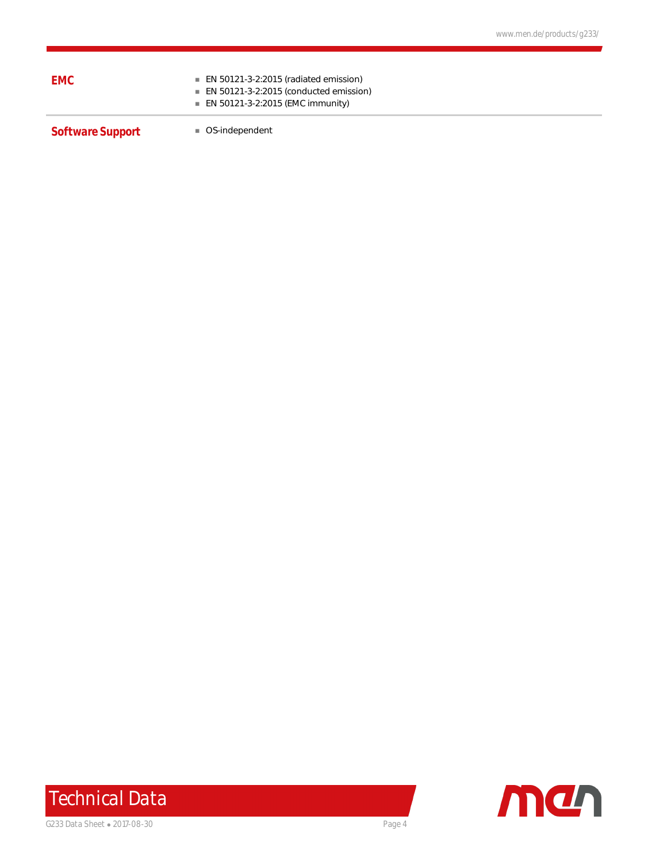| <i><b>EMC</b></i> | $\blacksquare$ EN 50121-3-2:2015 (radiated emission)<br>$\blacksquare$ EN 50121-3-2:2015 (conducted emission)<br>■ EN 50121-3-2:2015 (EMC immunity) |
|-------------------|-----------------------------------------------------------------------------------------------------------------------------------------------------|
|                   |                                                                                                                                                     |

**Software Support n** OS-independent